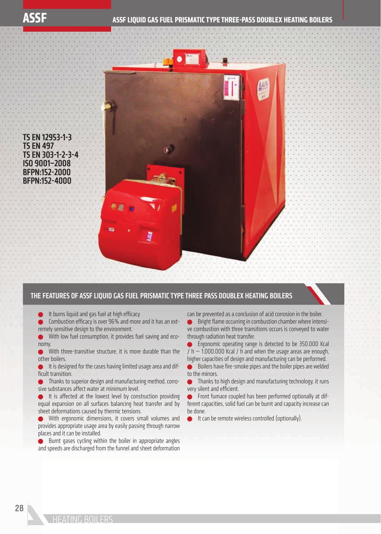TS EN 12953-1-3 TS EN 497 TS EN 303-1-2-3-4 ISO 9001–2008 BFPN:152-2000 BFPN:152-4000

## THE FEATURES OF ASSF LIQUID GAS FUEL PRISMATIC TYPE THREE PASS DOUBLEX HEATING BOILERS

It burns liquid and gas fuel at high efficacy

 $\bullet$  Combustion efficacy is over 96% and more and it has an extremely sensitive design to the environment.

With low fuel consumption, it provides fuel saving and economy.

With three-transitive structure, it is more durable than the other boilers.

It is designed for the cases having limited usage area and difficult transition.

 Thanks to superior design and manufacturing method, corrosive substances affect water at minimum level.

 It is affected at the lowest level by construction providing equal expansion on all surfaces balancing heat transfer and by sheet deformations caused by thermic tensions.

 With ergonomic dimensions, it covers small volumes and provides appropriate usage area by easily passing through narrow places and it can be installed.

 Burnt gases cycling within the boiler in appropriate angles and speeds are discharged from the funnel and sheet deformation

can be prevented as a conclusion of acid corrosion in the boiler.

 $\bullet$  Bright flame occurring in combustion chamber where intensive combustion with three transitions occurs is conveyed to water through radiation heat transfer.

 Ergonomic operating range is detected to be 350.000 Kcal  $/ h - 1.000.000$  Kcal  $/ h$  and when the usage areas are enough, higher capacities of design and manufacturing can be performed.

 $\bullet$  Boilers have fire-smoke pipes and the boiler pipes are welded to the mirrors.

 Thanks to high design and manufacturing technology, it runs very silent and efficient.

**• Front furnace coupled has been performed optionally at dif**ferent capacities, solid fuel can be burnt and capacity increase can be done.

It can be remote wireless controlled (optionally).